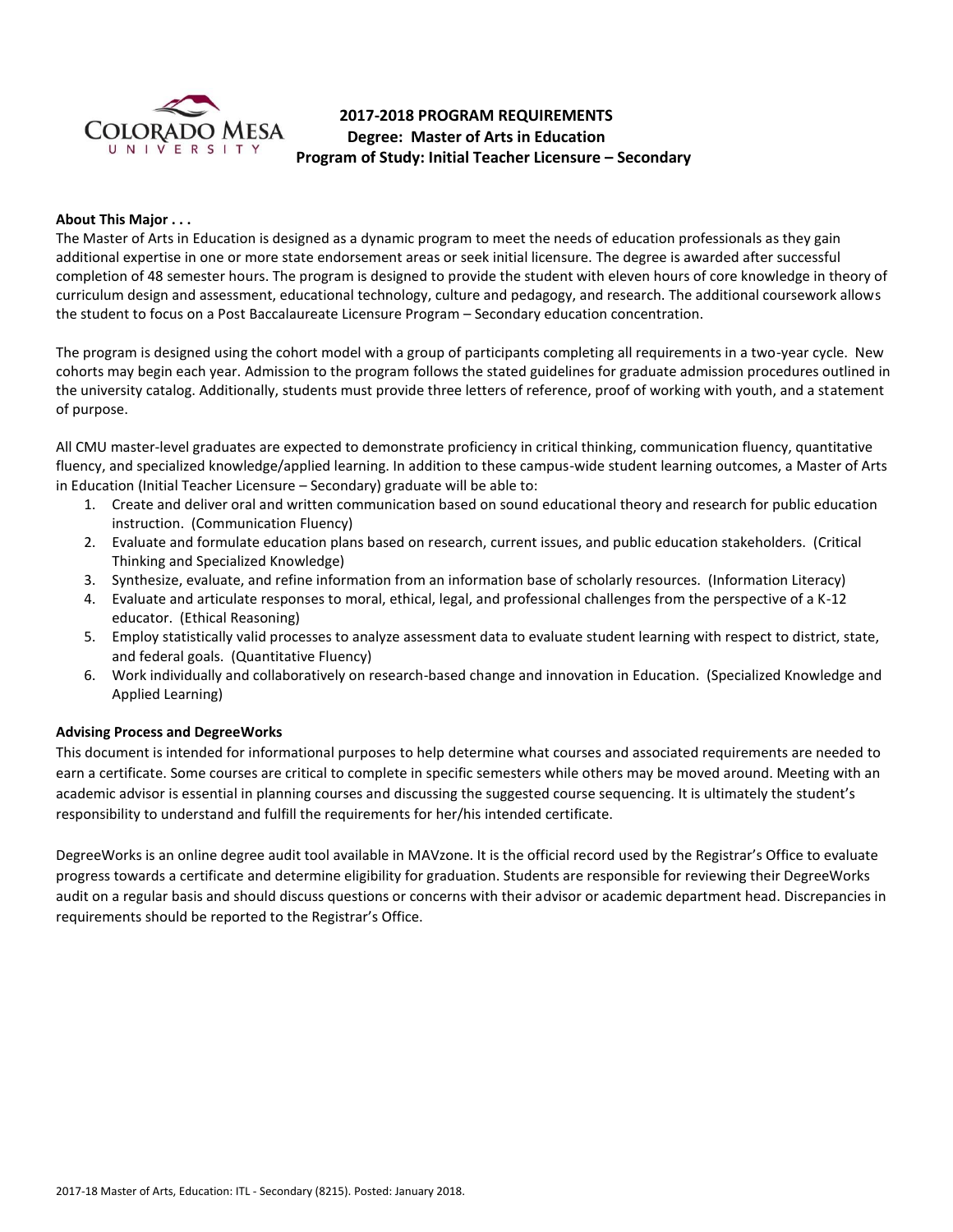

# **2017-2018 PROGRAM REQUIREMENTS Degree: Master of Arts in Education Program of Study: Initial Teacher Licensure – Secondary**

## **About This Major . . .**

The Master of Arts in Education is designed as a dynamic program to meet the needs of education professionals as they gain additional expertise in one or more state endorsement areas or seek initial licensure. The degree is awarded after successful completion of 48 semester hours. The program is designed to provide the student with eleven hours of core knowledge in theory of curriculum design and assessment, educational technology, culture and pedagogy, and research. The additional coursework allows the student to focus on a Post Baccalaureate Licensure Program – Secondary education concentration.

The program is designed using the cohort model with a group of participants completing all requirements in a two-year cycle. New cohorts may begin each year. Admission to the program follows the stated guidelines for graduate admission procedures outlined in the university catalog. Additionally, students must provide three letters of reference, proof of working with youth, and a statement of purpose.

All CMU master-level graduates are expected to demonstrate proficiency in critical thinking, communication fluency, quantitative fluency, and specialized knowledge/applied learning. In addition to these campus-wide student learning outcomes, a Master of Arts in Education (Initial Teacher Licensure – Secondary) graduate will be able to:

- 1. Create and deliver oral and written communication based on sound educational theory and research for public education instruction. (Communication Fluency)
- 2. Evaluate and formulate education plans based on research, current issues, and public education stakeholders. (Critical Thinking and Specialized Knowledge)
- 3. Synthesize, evaluate, and refine information from an information base of scholarly resources. (Information Literacy)
- 4. Evaluate and articulate responses to moral, ethical, legal, and professional challenges from the perspective of a K-12 educator. (Ethical Reasoning)
- 5. Employ statistically valid processes to analyze assessment data to evaluate student learning with respect to district, state, and federal goals. (Quantitative Fluency)
- 6. Work individually and collaboratively on research-based change and innovation in Education. (Specialized Knowledge and Applied Learning)

# **Advising Process and DegreeWorks**

This document is intended for informational purposes to help determine what courses and associated requirements are needed to earn a certificate. Some courses are critical to complete in specific semesters while others may be moved around. Meeting with an academic advisor is essential in planning courses and discussing the suggested course sequencing. It is ultimately the student's responsibility to understand and fulfill the requirements for her/his intended certificate.

DegreeWorks is an online degree audit tool available in MAVzone. It is the official record used by the Registrar's Office to evaluate progress towards a certificate and determine eligibility for graduation. Students are responsible for reviewing their DegreeWorks audit on a regular basis and should discuss questions or concerns with their advisor or academic department head. Discrepancies in requirements should be reported to the Registrar's Office.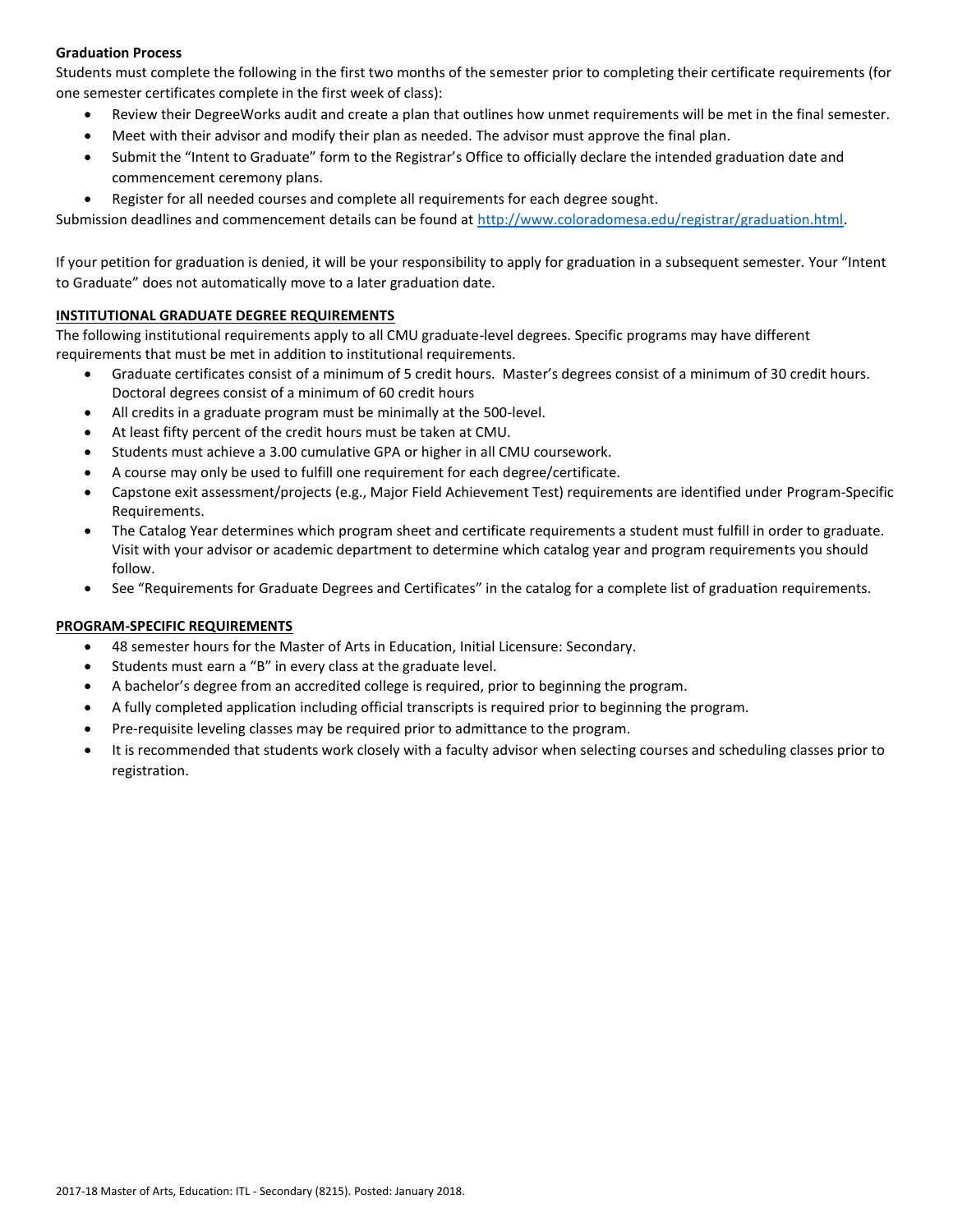# **Graduation Process**

Students must complete the following in the first two months of the semester prior to completing their certificate requirements (for one semester certificates complete in the first week of class):

- Review their DegreeWorks audit and create a plan that outlines how unmet requirements will be met in the final semester.
- Meet with their advisor and modify their plan as needed. The advisor must approve the final plan.
- Submit the "Intent to Graduate" form to the Registrar's Office to officially declare the intended graduation date and commencement ceremony plans.
- Register for all needed courses and complete all requirements for each degree sought.

Submission deadlines and commencement details can be found at [http://www.coloradomesa.edu/registrar/graduation.html.](http://www.coloradomesa.edu/registrar/graduation.html)

If your petition for graduation is denied, it will be your responsibility to apply for graduation in a subsequent semester. Your "Intent to Graduate" does not automatically move to a later graduation date.

## **INSTITUTIONAL GRADUATE DEGREE REQUIREMENTS**

The following institutional requirements apply to all CMU graduate-level degrees. Specific programs may have different requirements that must be met in addition to institutional requirements.

- Graduate certificates consist of a minimum of 5 credit hours. Master's degrees consist of a minimum of 30 credit hours. Doctoral degrees consist of a minimum of 60 credit hours
- All credits in a graduate program must be minimally at the 500-level.
- At least fifty percent of the credit hours must be taken at CMU.
- Students must achieve a 3.00 cumulative GPA or higher in all CMU coursework.
- A course may only be used to fulfill one requirement for each degree/certificate.
- Capstone exit assessment/projects (e.g., Major Field Achievement Test) requirements are identified under Program-Specific Requirements.
- The Catalog Year determines which program sheet and certificate requirements a student must fulfill in order to graduate. Visit with your advisor or academic department to determine which catalog year and program requirements you should follow.
- See "Requirements for Graduate Degrees and Certificates" in the catalog for a complete list of graduation requirements.

# **PROGRAM-SPECIFIC REQUIREMENTS**

- 48 semester hours for the Master of Arts in Education, Initial Licensure: Secondary.
- Students must earn a "B" in every class at the graduate level.
- A bachelor's degree from an accredited college is required, prior to beginning the program.
- A fully completed application including official transcripts is required prior to beginning the program.
- Pre-requisite leveling classes may be required prior to admittance to the program.
- It is recommended that students work closely with a faculty advisor when selecting courses and scheduling classes prior to registration.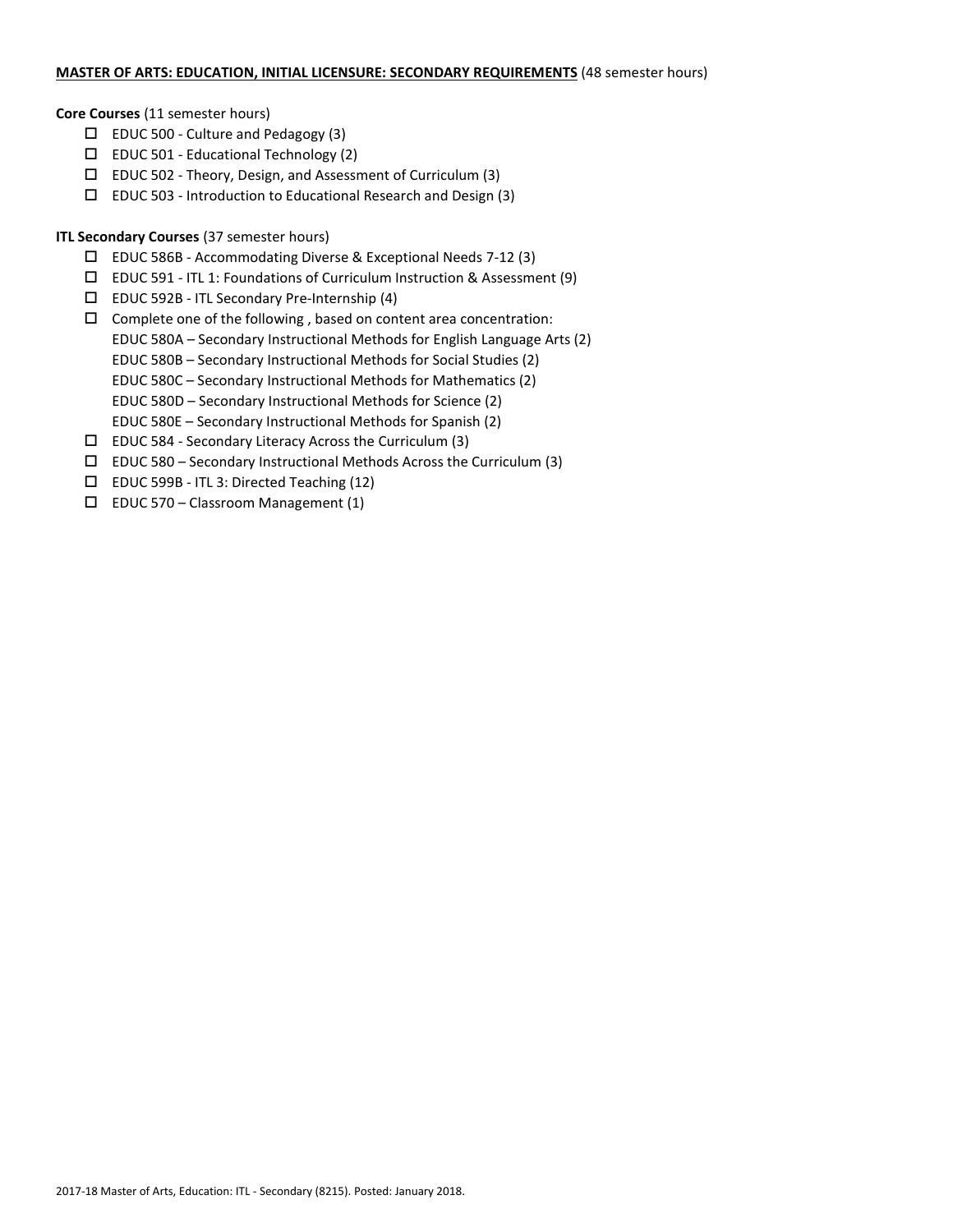### **MASTER OF ARTS: EDUCATION, INITIAL LICENSURE: SECONDARY REQUIREMENTS** (48 semester hours)

## **Core Courses** (11 semester hours)

- $\Box$  EDUC 500 Culture and Pedagogy (3)
- EDUC 501 Educational Technology (2)
- $\Box$  EDUC 502 Theory, Design, and Assessment of Curriculum (3)
- $\square$  EDUC 503 Introduction to Educational Research and Design (3)

# **ITL Secondary Courses** (37 semester hours)

- EDUC 586B Accommodating Diverse & Exceptional Needs 7-12 (3)
- EDUC 591 ITL 1: Foundations of Curriculum Instruction & Assessment (9)
- EDUC 592B ITL Secondary Pre-Internship (4)
- $\Box$  Complete one of the following, based on content area concentration: EDUC 580A – Secondary Instructional Methods for English Language Arts (2)
	- EDUC 580B Secondary Instructional Methods for Social Studies (2)
	- EDUC 580C Secondary Instructional Methods for Mathematics (2)
	- EDUC 580D Secondary Instructional Methods for Science (2)
	- EDUC 580E Secondary Instructional Methods for Spanish (2)
- $\square$  EDUC 584 Secondary Literacy Across the Curriculum (3)
- $\square$  EDUC 580 Secondary Instructional Methods Across the Curriculum (3)
- EDUC 599B ITL 3: Directed Teaching (12)
- $\square$  EDUC 570 Classroom Management (1)